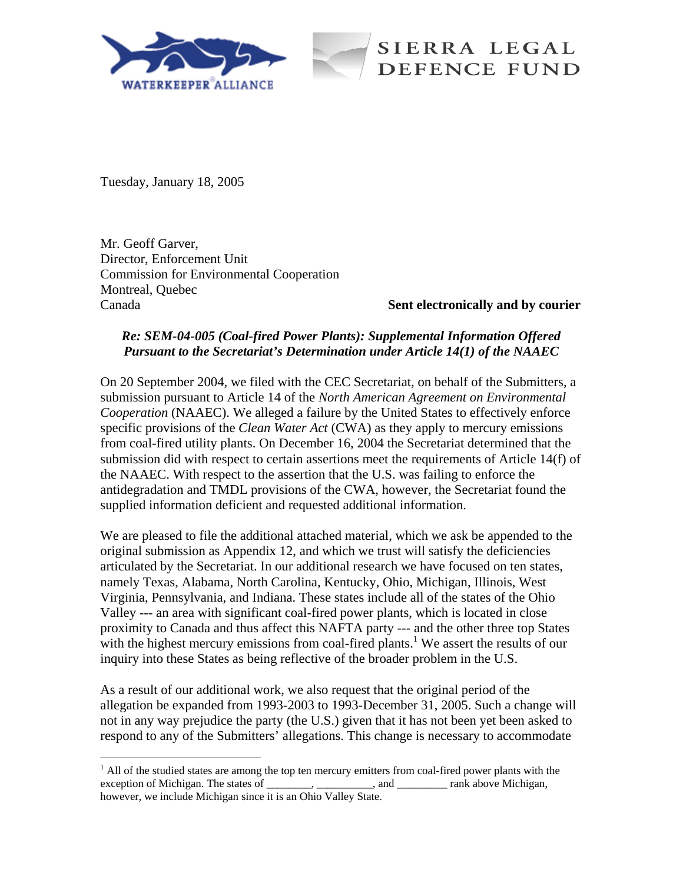



Tuesday, January 18, 2005

1

Mr. Geoff Garver, Director, Enforcement Unit Commission for Environmental Cooperation Montreal, Quebec Canada **Sent electronically and by courier**

## *Re: SEM-04-005 (Coal-fired Power Plants): Supplemental Information Offered Pursuant to the Secretariat's Determination under Article 14(1) of the NAAEC*

On 20 September 2004, we filed with the CEC Secretariat, on behalf of the Submitters, a submission pursuant to Article 14 of the *North American Agreement on Environmental Cooperation* (NAAEC). We alleged a failure by the United States to effectively enforce specific provisions of the *Clean Water Act* (CWA) as they apply to mercury emissions from coal-fired utility plants. On December 16, 2004 the Secretariat determined that the submission did with respect to certain assertions meet the requirements of Article 14(f) of the NAAEC. With respect to the assertion that the U.S. was failing to enforce the antidegradation and TMDL provisions of the CWA, however, the Secretariat found the supplied information deficient and requested additional information.

We are pleased to file the additional attached material, which we ask be appended to the original submission as Appendix 12, and which we trust will satisfy the deficiencies articulated by the Secretariat. In our additional research we have focused on ten states, namely Texas, Alabama, North Carolina, Kentucky, Ohio, Michigan, Illinois, West Virginia, Pennsylvania, and Indiana. These states include all of the states of the Ohio Valley --- an area with significant coal-fired power plants, which is located in close proximity to Canada and thus affect this NAFTA party --- and the other three top States with the highest mercury emissions from coal-fired plants.<sup>1</sup> We assert the results of our inquiry into these States as being reflective of the broader problem in the U.S.

As a result of our additional work, we also request that the original period of the allegation be expanded from 1993-2003 to 1993-December 31, 2005. Such a change will not in any way prejudice the party (the U.S.) given that it has not been yet been asked to respond to any of the Submitters' allegations. This change is necessary to accommodate

 $<sup>1</sup>$  All of the studied states are among the top ten mercury emitters from coal-fired power plants with the</sup> exception of Michigan. The states of \_\_\_\_\_\_\_, \_\_\_\_\_\_\_\_\_, and \_\_\_\_\_\_\_\_\_\_ rank above Michigan, however, we include Michigan since it is an Ohio Valley State.